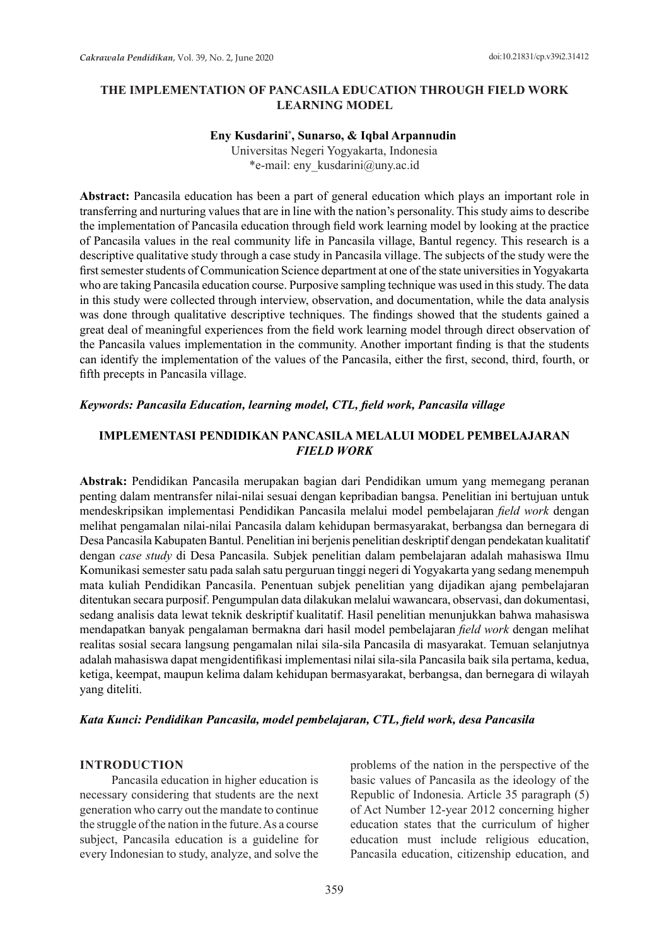## **THE IMPLEMENTATION OF PANCASILA EDUCATION THROUGH FIELD WORK LEARNING MODEL**

#### **Eny Kusdarini\* , Sunarso, & Iqbal Arpannudin**

Universitas Negeri Yogyakarta, Indonesia \*e-mail: eny\_kusdarini@uny.ac.id

**Abstract:** Pancasila education has been a part of general education which plays an important role in transferring and nurturing values that are in line with the nation's personality. This study aims to describe the implementation of Pancasila education through field work learning model by looking at the practice of Pancasila values in the real community life in Pancasila village, Bantul regency. This research is a descriptive qualitative study through a case study in Pancasila village. The subjects of the study were the first semester students of Communication Science department at one of the state universities in Yogyakarta who are taking Pancasila education course. Purposive sampling technique was used in this study. The data in this study were collected through interview, observation, and documentation, while the data analysis was done through qualitative descriptive techniques. The findings showed that the students gained a great deal of meaningful experiences from the field work learning model through direct observation of the Pancasila values implementation in the community. Another important finding is that the students can identify the implementation of the values of the Pancasila, either the first, second, third, fourth, or fifth precepts in Pancasila village.

## *Keywords: Pancasila Education, learning model, CTL, field work, Pancasila village*

# **IMPLEMENTASI PENDIDIKAN PANCASILA MELALUI MODEL PEMBELAJARAN**  *FIELD WORK*

**Abstrak:** Pendidikan Pancasila merupakan bagian dari Pendidikan umum yang memegang peranan penting dalam mentransfer nilai-nilai sesuai dengan kepribadian bangsa. Penelitian ini bertujuan untuk mendeskripsikan implementasi Pendidikan Pancasila melalui model pembelajaran *field work* dengan melihat pengamalan nilai-nilai Pancasila dalam kehidupan bermasyarakat, berbangsa dan bernegara di Desa Pancasila Kabupaten Bantul. Penelitian ini berjenis penelitian deskriptif dengan pendekatan kualitatif dengan *case study* di Desa Pancasila. Subjek penelitian dalam pembelajaran adalah mahasiswa Ilmu Komunikasi semester satu pada salah satu perguruan tinggi negeri di Yogyakarta yang sedang menempuh mata kuliah Pendidikan Pancasila. Penentuan subjek penelitian yang dijadikan ajang pembelajaran ditentukan secara purposif. Pengumpulan data dilakukan melalui wawancara, observasi, dan dokumentasi, sedang analisis data lewat teknik deskriptif kualitatif. Hasil penelitian menunjukkan bahwa mahasiswa mendapatkan banyak pengalaman bermakna dari hasil model pembelajaran *field work* dengan melihat realitas sosial secara langsung pengamalan nilai sila-sila Pancasila di masyarakat. Temuan selanjutnya adalah mahasiswa dapat mengidentifikasi implementasi nilai sila-sila Pancasila baik sila pertama, kedua, ketiga, keempat, maupun kelima dalam kehidupan bermasyarakat, berbangsa, dan bernegara di wilayah yang diteliti.

## *Kata Kunci: Pendidikan Pancasila, model pembelajaran, CTL, field work, desa Pancasila*

#### **INTRODUCTION**

Pancasila education in higher education is necessary considering that students are the next generation who carry out the mandate to continue the struggle of the nation in the future. As a course subject, Pancasila education is a guideline for every Indonesian to study, analyze, and solve the problems of the nation in the perspective of the basic values of Pancasila as the ideology of the Republic of Indonesia. Article 35 paragraph (5) of Act Number 12-year 2012 concerning higher education states that the curriculum of higher education must include religious education, Pancasila education, citizenship education, and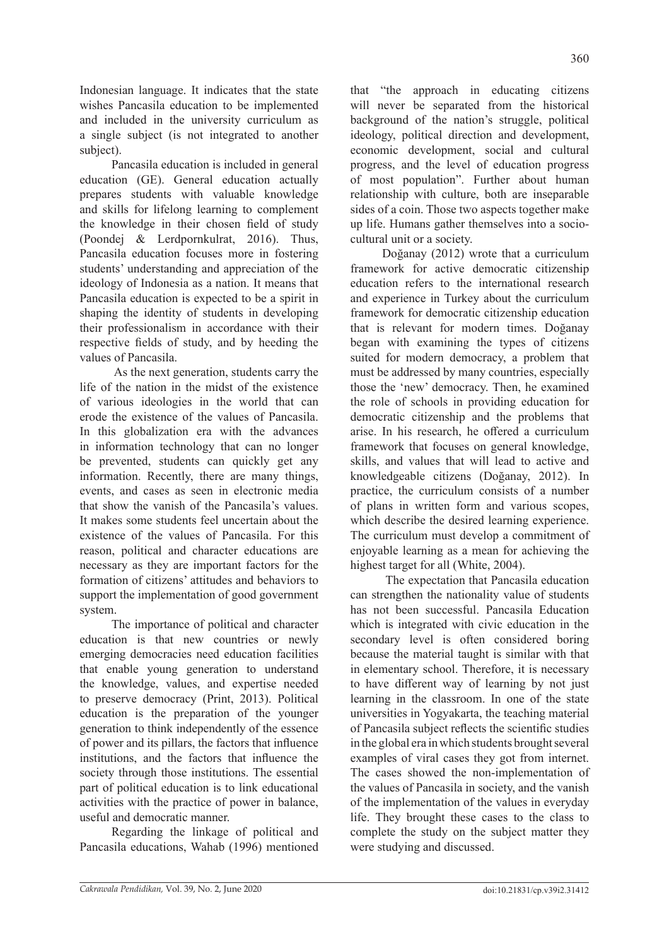Indonesian language. It indicates that the state wishes Pancasila education to be implemented and included in the university curriculum as a single subject (is not integrated to another subject).

Pancasila education is included in general education (GE). General education actually prepares students with valuable knowledge and skills for lifelong learning to complement the knowledge in their chosen field of study (Poondej & Lerdpornkulrat, 2016). Thus, Pancasila education focuses more in fostering students' understanding and appreciation of the ideology of Indonesia as a nation. It means that Pancasila education is expected to be a spirit in shaping the identity of students in developing their professionalism in accordance with their respective fields of study, and by heeding the values of Pancasila.

As the next generation, students carry the life of the nation in the midst of the existence of various ideologies in the world that can erode the existence of the values of Pancasila. In this globalization era with the advances in information technology that can no longer be prevented, students can quickly get any information. Recently, there are many things, events, and cases as seen in electronic media that show the vanish of the Pancasila's values. It makes some students feel uncertain about the existence of the values of Pancasila. For this reason, political and character educations are necessary as they are important factors for the formation of citizens' attitudes and behaviors to support the implementation of good government system.

The importance of political and character education is that new countries or newly emerging democracies need education facilities that enable young generation to understand the knowledge, values, and expertise needed to preserve democracy (Print, 2013). Political education is the preparation of the younger generation to think independently of the essence of power and its pillars, the factors that influence institutions, and the factors that influence the society through those institutions. The essential part of political education is to link educational activities with the practice of power in balance, useful and democratic manner.

Regarding the linkage of political and Pancasila educations, Wahab (1996) mentioned that "the approach in educating citizens will never be separated from the historical background of the nation's struggle, political ideology, political direction and development, economic development, social and cultural progress, and the level of education progress of most population". Further about human relationship with culture, both are inseparable sides of a coin. Those two aspects together make up life. Humans gather themselves into a sociocultural unit or a society.

Doğanay (2012) wrote that a curriculum framework for active democratic citizenship education refers to the international research and experience in Turkey about the curriculum framework for democratic citizenship education that is relevant for modern times. Doğanay began with examining the types of citizens suited for modern democracy, a problem that must be addressed by many countries, especially those the 'new' democracy. Then, he examined the role of schools in providing education for democratic citizenship and the problems that arise. In his research, he offered a curriculum framework that focuses on general knowledge, skills, and values that will lead to active and knowledgeable citizens (Doğanay, 2012). In practice, the curriculum consists of a number of plans in written form and various scopes, which describe the desired learning experience. The curriculum must develop a commitment of enjoyable learning as a mean for achieving the highest target for all (White, 2004).

The expectation that Pancasila education can strengthen the nationality value of students has not been successful. Pancasila Education which is integrated with civic education in the secondary level is often considered boring because the material taught is similar with that in elementary school. Therefore, it is necessary to have different way of learning by not just learning in the classroom. In one of the state universities in Yogyakarta, the teaching material of Pancasila subject reflects the scientific studies in the global era in which students brought several examples of viral cases they got from internet. The cases showed the non-implementation of the values of Pancasila in society, and the vanish of the implementation of the values in everyday life. They brought these cases to the class to complete the study on the subject matter they were studying and discussed.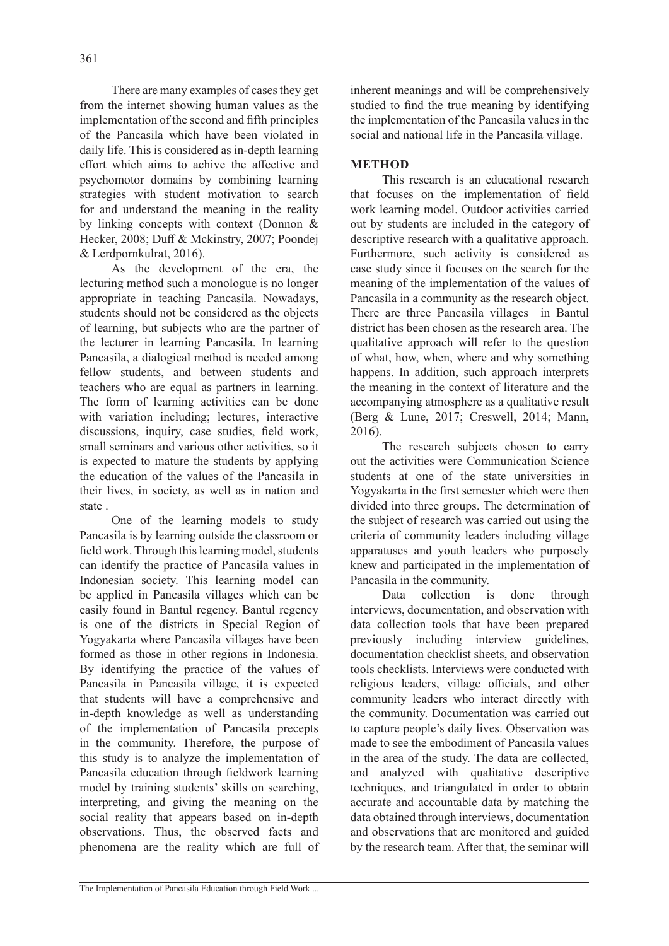There are many examples of cases they get from the internet showing human values as the implementation of the second and fifth principles of the Pancasila which have been violated in daily life. This is considered as in-depth learning effort which aims to achive the affective and psychomotor domains by combining learning strategies with student motivation to search for and understand the meaning in the reality by linking concepts with context (Donnon & Hecker, 2008; Duff & Mckinstry, 2007; Poondej & Lerdpornkulrat, 2016).

As the development of the era, the lecturing method such a monologue is no longer appropriate in teaching Pancasila. Nowadays, students should not be considered as the objects of learning, but subjects who are the partner of the lecturer in learning Pancasila. In learning Pancasila, a dialogical method is needed among fellow students, and between students and teachers who are equal as partners in learning. The form of learning activities can be done with variation including; lectures, interactive discussions, inquiry, case studies, field work, small seminars and various other activities, so it is expected to mature the students by applying the education of the values of the Pancasila in their lives, in society, as well as in nation and state .

One of the learning models to study Pancasila is by learning outside the classroom or field work. Through this learning model, students can identify the practice of Pancasila values in Indonesian society. This learning model can be applied in Pancasila villages which can be easily found in Bantul regency. Bantul regency is one of the districts in Special Region of Yogyakarta where Pancasila villages have been formed as those in other regions in Indonesia. By identifying the practice of the values of Pancasila in Pancasila village, it is expected that students will have a comprehensive and in-depth knowledge as well as understanding of the implementation of Pancasila precepts in the community. Therefore, the purpose of this study is to analyze the implementation of Pancasila education through fieldwork learning model by training students' skills on searching, interpreting, and giving the meaning on the social reality that appears based on in-depth observations. Thus, the observed facts and phenomena are the reality which are full of inherent meanings and will be comprehensively studied to find the true meaning by identifying the implementation of the Pancasila values in the social and national life in the Pancasila village.

# **METHOD**

This research is an educational research that focuses on the implementation of field work learning model. Outdoor activities carried out by students are included in the category of descriptive research with a qualitative approach. Furthermore, such activity is considered as case study since it focuses on the search for the meaning of the implementation of the values of Pancasila in a community as the research object. There are three Pancasila villages in Bantul district has been chosen as the research area. The qualitative approach will refer to the question of what, how, when, where and why something happens. In addition, such approach interprets the meaning in the context of literature and the accompanying atmosphere as a qualitative result (Berg & Lune, 2017; Creswell, 2014; Mann, 2016).

The research subjects chosen to carry out the activities were Communication Science students at one of the state universities in Yogyakarta in the first semester which were then divided into three groups. The determination of the subject of research was carried out using the criteria of community leaders including village apparatuses and youth leaders who purposely knew and participated in the implementation of Pancasila in the community.

Data collection is done through interviews, documentation, and observation with data collection tools that have been prepared previously including interview guidelines, documentation checklist sheets, and observation tools checklists. Interviews were conducted with religious leaders, village officials, and other community leaders who interact directly with the community. Documentation was carried out to capture people's daily lives. Observation was made to see the embodiment of Pancasila values in the area of the study. The data are collected, and analyzed with qualitative descriptive techniques, and triangulated in order to obtain accurate and accountable data by matching the data obtained through interviews, documentation and observations that are monitored and guided by the research team. After that, the seminar will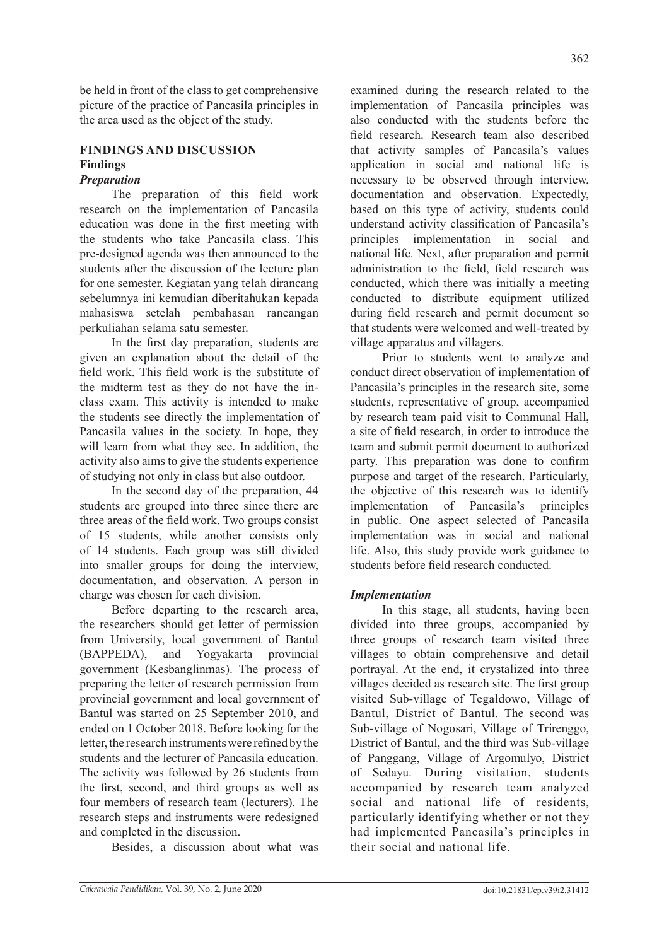charge was chosen for each division.

letter, the research instruments were refined by the students and the lecturer of Pancasila education. The activity was followed by 26 students from the first, second, and third groups as well as four members of research team (lecturers). The research steps and instruments were redesigned and completed in the discussion.

be held in front of the class to get comprehensive picture of the practice of Pancasila principles in

The preparation of this field work research on the implementation of Pancasila education was done in the first meeting with the students who take Pancasila class. This pre-designed agenda was then announced to the students after the discussion of the lecture plan for one semester. Kegiatan yang telah dirancang sebelumnya ini kemudian diberitahukan kepada mahasiswa setelah pembahasan rancangan

In the first day preparation, students are given an explanation about the detail of the field work. This field work is the substitute of the midterm test as they do not have the inclass exam. This activity is intended to make the students see directly the implementation of Pancasila values in the society. In hope, they will learn from what they see. In addition, the activity also aims to give the students experience of studying not only in class but also outdoor.

In the second day of the preparation, 44 students are grouped into three since there are three areas of the field work. Two groups consist of 15 students, while another consists only of 14 students. Each group was still divided into smaller groups for doing the interview, documentation, and observation. A person in

Before departing to the research area, the researchers should get letter of permission from University, local government of Bantul (BAPPEDA), and Yogyakarta provincial government (Kesbanglinmas). The process of preparing the letter of research permission from provincial government and local government of Bantul was started on 25 September 2010, and ended on 1 October 2018. Before looking for the

the area used as the object of the study.

**FINDINGS AND DISCUSSION**

perkuliahan selama satu semester.

**Findings** *Preparation*

Besides, a discussion about what was

examined during the research related to the implementation of Pancasila principles was also conducted with the students before the field research. Research team also described that activity samples of Pancasila's values application in social and national life is necessary to be observed through interview, documentation and observation. Expectedly, based on this type of activity, students could understand activity classification of Pancasila's principles implementation in social and national life. Next, after preparation and permit administration to the field, field research was conducted, which there was initially a meeting conducted to distribute equipment utilized during field research and permit document so that students were welcomed and well-treated by village apparatus and villagers.

Prior to students went to analyze and conduct direct observation of implementation of Pancasila's principles in the research site, some students, representative of group, accompanied by research team paid visit to Communal Hall, a site of field research, in order to introduce the team and submit permit document to authorized party. This preparation was done to confirm purpose and target of the research. Particularly, the objective of this research was to identify implementation of Pancasila's principles in public. One aspect selected of Pancasila implementation was in social and national life. Also, this study provide work guidance to students before field research conducted.

### *Implementation*

In this stage, all students, having been divided into three groups, accompanied by three groups of research team visited three villages to obtain comprehensive and detail portrayal. At the end, it crystalized into three villages decided as research site. The first group visited Sub-village of Tegaldowo, Village of Bantul, District of Bantul. The second was Sub-village of Nogosari, Village of Trirenggo, District of Bantul, and the third was Sub-village of Panggang, Village of Argomulyo, District of Sedayu. During visitation, students accompanied by research team analyzed social and national life of residents, particularly identifying whether or not they had implemented Pancasila's principles in their social and national life.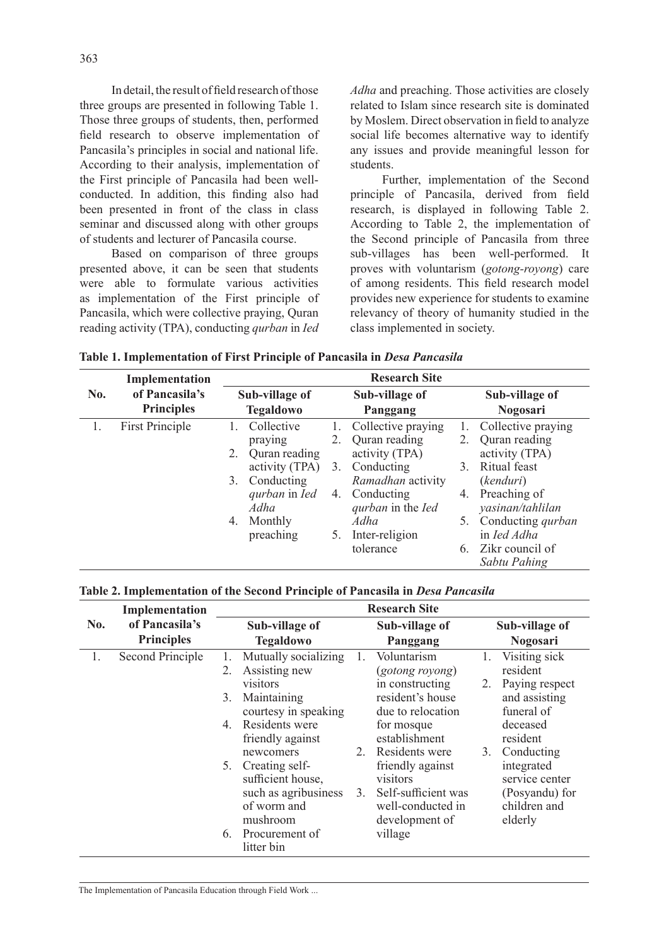In detail, the result of field research of those three groups are presented in following Table 1. Those three groups of students, then, performed field research to observe implementation of Pancasila's principles in social and national life. According to their analysis, implementation of the First principle of Pancasila had been wellconducted. In addition, this finding also had been presented in front of the class in class seminar and discussed along with other groups of students and lecturer of Pancasila course.

Based on comparison of three groups presented above, it can be seen that students were able to formulate various activities as implementation of the First principle of Pancasila, which were collective praying, Quran reading activity (TPA), conducting *qurban* in *Ied*  *Adha* and preaching. Those activities are closely related to Islam since research site is dominated by Moslem. Direct observation in field to analyze social life becomes alternative way to identify any issues and provide meaningful lesson for students.

Further, implementation of the Second principle of Pancasila, derived from field research, is displayed in following Table 2. According to Table 2, the implementation of the Second principle of Pancasila from three sub-villages has been well-performed. It proves with voluntarism (*gotong-royong*) care of among residents. This field research model provides new experience for students to examine relevancy of theory of humanity studied in the class implemented in society.

| Table 1. Implementation of First Principle of Pancasila in Desa Pancasila |  |
|---------------------------------------------------------------------------|--|
|---------------------------------------------------------------------------|--|

|     | Implementation                   | <b>Research Site</b> |                  |                |                                 |    |                          |  |  |
|-----|----------------------------------|----------------------|------------------|----------------|---------------------------------|----|--------------------------|--|--|
| No. | of Pancasila's<br>Sub-village of |                      |                  | Sub-village of |                                 |    | Sub-village of           |  |  |
|     | <b>Principles</b>                |                      | <b>Tegaldowo</b> |                | Panggang                        |    | Nogosari                 |  |  |
|     | <b>First Principle</b>           | 1.                   | Collective       | Ι.             | Collective praying              |    | Collective praying       |  |  |
|     |                                  |                      | praying          | 2.             | Quran reading                   | 2. | Quran reading            |  |  |
|     |                                  |                      | Quran reading    |                | activity (TPA)                  |    | activity (TPA)           |  |  |
|     |                                  |                      | activity (TPA)   | 3.             | Conducting                      | 3. | Ritual feast             |  |  |
|     |                                  | 3.                   | Conducting       |                | Ramadhan activity               |    | (kenduri)                |  |  |
|     |                                  |                      | qurban in Ied    | 4.             | Conducting                      | 4. | Preaching of             |  |  |
|     |                                  |                      | Adha             |                | <i>gurban</i> in the <i>Ied</i> |    | yasinan/tahlilan         |  |  |
|     |                                  | 4.                   | Monthly          |                | Adha                            | 5. | Conducting <i>qurban</i> |  |  |
|     |                                  |                      | preaching        | 5.             | Inter-religion                  |    | in <i>Ied Adha</i>       |  |  |
|     |                                  |                      |                  |                | tolerance                       | 6. | Zikr council of          |  |  |
|     |                                  |                      |                  |                |                                 |    | Sabtu Pahing             |  |  |

#### **Table 2. Implementation of the Second Principle of Pancasila in** *Desa Pancasila*

|     | Implementation                      |                                                                                                                                                  | <b>Research Site</b>                                                                                                                              |                                                                                                                |  |  |  |
|-----|-------------------------------------|--------------------------------------------------------------------------------------------------------------------------------------------------|---------------------------------------------------------------------------------------------------------------------------------------------------|----------------------------------------------------------------------------------------------------------------|--|--|--|
| No. | of Pancasila's<br><b>Principles</b> | Sub-village of<br><b>Tegaldowo</b>                                                                                                               | Sub-village of<br>Panggang                                                                                                                        | Sub-village of<br><b>Nogosari</b>                                                                              |  |  |  |
| 1.  | Second Principle                    | Mutually socializing<br>Assisting new<br>2.<br>visitors<br>Maintaining<br>3.<br>courtesy in speaking<br>Residents were<br>4.<br>friendly against | Voluntarism<br>1.<br>(gotong royong)<br>in constructing<br>resident's house<br>due to relocation<br>for mosque<br>establishment<br>Residents were | Visiting sick<br>1.<br>resident<br>Paying respect<br>2.<br>and assisting<br>funeral of<br>deceased<br>resident |  |  |  |
|     |                                     | newcomers<br>Creating self-<br>5.<br>sufficient house,<br>such as agribusiness<br>of worm and<br>mushroom<br>Procurement of<br>6.<br>litter bin  | 2.<br>friendly against<br>visitors<br>Self-sufficient was<br>3.<br>well-conducted in<br>development of<br>village                                 | Conducting<br>3.<br>integrated<br>service center<br>(Posyandu) for<br>children and<br>elderly                  |  |  |  |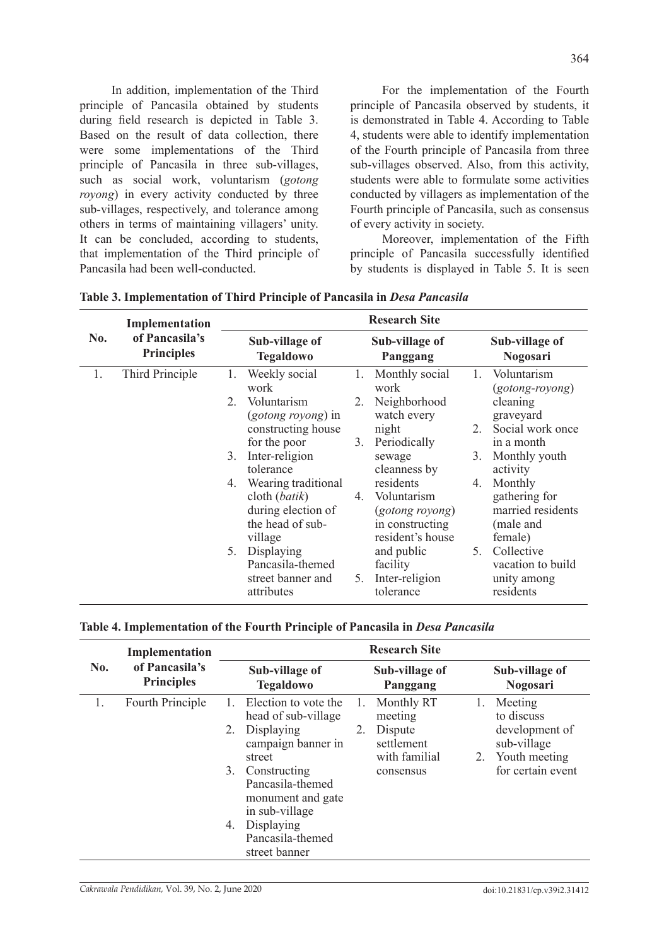In addition, implementation of the Third principle of Pancasila obtained by students during field research is depicted in Table 3. Based on the result of data collection, there were some implementations of the Third principle of Pancasila in three sub-villages, such as social work, voluntarism (*gotong royong*) in every activity conducted by three sub-villages, respectively, and tolerance among others in terms of maintaining villagers' unity. It can be concluded, according to students, that implementation of the Third principle of Pancasila had been well-conducted.

For the implementation of the Fourth principle of Pancasila observed by students, it is demonstrated in Table 4. According to Table 4, students were able to identify implementation of the Fourth principle of Pancasila from three sub-villages observed. Also, from this activity, students were able to formulate some activities conducted by villagers as implementation of the Fourth principle of Pancasila, such as consensus of every activity in society.

Moreover, implementation of the Fifth principle of Pancasila successfully identified by students is displayed in Table 5. It is seen

|     | Implementation<br>of Pancasila's<br><b>Principles</b> | <b>Research Site</b>               |                                                                                                    |    |                                                                                    |    |                                                                       |  |
|-----|-------------------------------------------------------|------------------------------------|----------------------------------------------------------------------------------------------------|----|------------------------------------------------------------------------------------|----|-----------------------------------------------------------------------|--|
| No. |                                                       | Sub-village of<br><b>Tegaldowo</b> |                                                                                                    |    | Sub-village of<br>Panggang                                                         |    | Sub-village of<br>Nogosari                                            |  |
| 1.  | Third Principle                                       | 1.                                 | Weekly social<br>work                                                                              | 1. | Monthly social<br>work                                                             | 1. | Voluntarism<br>(gotong-royong)                                        |  |
|     |                                                       | 2.                                 | Voluntarism<br>( <i>gotong royong</i> ) in<br>constructing house                                   | 2. | Neighborhood<br>watch every<br>night                                               | 2. | cleaning<br>graveyard<br>Social work once                             |  |
|     |                                                       |                                    | for the poor                                                                                       | 3. | Periodically                                                                       |    | in a month                                                            |  |
|     |                                                       | 3.                                 | Inter-religion<br>tolerance                                                                        |    | sewage<br>cleanness by                                                             | 3. | Monthly youth<br>activity                                             |  |
|     |                                                       | 4.                                 | Wearing traditional<br>cloth ( <i>batik</i> )<br>during election of<br>the head of sub-<br>village | 4. | residents<br>Voluntarism<br>(gotong royong)<br>in constructing<br>resident's house | 4. | Monthly<br>gathering for<br>married residents<br>(male and<br>female) |  |
|     |                                                       | 5.                                 | Displaying<br>Pancasila-themed<br>street banner and<br>attributes                                  | 5. | and public<br>facility<br>Inter-religion<br>tolerance                              | 5. | Collective<br>vacation to build<br>unity among<br>residents           |  |

**Table 3. Implementation of Third Principle of Pancasila in** *Desa Pancasila*

## **Table 4. Implementation of the Fourth Principle of Pancasila in** *Desa Pancasila*

| Implementation<br>of Pancasila's<br><b>Principles</b> |                      | <b>Research Site</b>                                                                                                                                                                                   |               |                                                                              |          |                                                                                              |  |  |
|-------------------------------------------------------|----------------------|--------------------------------------------------------------------------------------------------------------------------------------------------------------------------------------------------------|---------------|------------------------------------------------------------------------------|----------|----------------------------------------------------------------------------------------------|--|--|
|                                                       |                      | Sub-village of<br><b>Tegaldowo</b>                                                                                                                                                                     |               | Sub-village of<br>Panggang                                                   |          | Sub-village of<br><b>Nogosari</b>                                                            |  |  |
| Fourth Principle                                      | 1.<br>2.<br>3.<br>4. | Election to vote the<br>head of sub-village<br>Displaying<br>campaign banner in<br>street<br>Constructing<br>Pancasila-themed<br>monument and gate<br>in sub-village<br>Displaying<br>Pancasila-themed | 1.<br>2.      | Monthly RT<br>meeting<br>Dispute<br>settlement<br>with familial<br>consensus | 1.<br>2. | Meeting<br>to discuss<br>development of<br>sub-village<br>Youth meeting<br>for certain event |  |  |
|                                                       |                      |                                                                                                                                                                                                        | street banner |                                                                              |          |                                                                                              |  |  |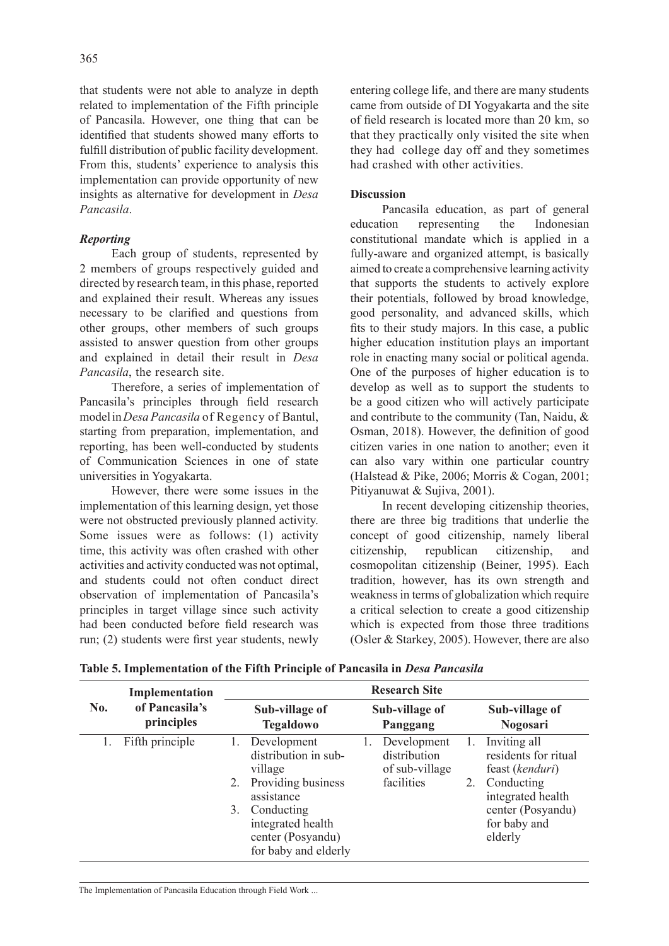that students were not able to analyze in depth related to implementation of the Fifth principle of Pancasila. However, one thing that can be identified that students showed many efforts to fulfill distribution of public facility development. From this, students' experience to analysis this implementation can provide opportunity of new insights as alternative for development in *Desa Pancasila*.

## *Reporting*

Each group of students, represented by 2 members of groups respectively guided and directed by research team, in this phase, reported and explained their result. Whereas any issues necessary to be clarified and questions from other groups, other members of such groups assisted to answer question from other groups and explained in detail their result in *Desa Pancasila*, the research site.

Therefore, a series of implementation of Pancasila's principles through field research model in *Desa Pancasila* of Regency of Bantul, starting from preparation, implementation, and reporting, has been well-conducted by students of Communication Sciences in one of state universities in Yogyakarta.

However, there were some issues in the implementation of this learning design, yet those were not obstructed previously planned activity. Some issues were as follows: (1) activity time, this activity was often crashed with other activities and activity conducted was not optimal, and students could not often conduct direct observation of implementation of Pancasila's principles in target village since such activity had been conducted before field research was run; (2) students were first year students, newly entering college life, and there are many students came from outside of DI Yogyakarta and the site of field research is located more than 20 km, so that they practically only visited the site when they had college day off and they sometimes had crashed with other activities.

## **Discussion**

Pancasila education, as part of general education representing the Indonesian constitutional mandate which is applied in a fully-aware and organized attempt, is basically aimed to create a comprehensive learning activity that supports the students to actively explore their potentials, followed by broad knowledge, good personality, and advanced skills, which fits to their study majors. In this case, a public higher education institution plays an important role in enacting many social or political agenda. One of the purposes of higher education is to develop as well as to support the students to be a good citizen who will actively participate and contribute to the community (Tan, Naidu, & Osman, 2018). However, the definition of good citizen varies in one nation to another; even it can also vary within one particular country (Halstead & Pike, 2006; Morris & Cogan, 2001; Pitiyanuwat & Sujiva, 2001).

In recent developing citizenship theories, there are three big traditions that underlie the concept of good citizenship, namely liberal citizenship, republican citizenship, and cosmopolitan citizenship (Beiner, 1995). Each tradition, however, has its own strength and weakness in terms of globalization which require a critical selection to create a good citizenship which is expected from those three traditions (Osler & Starkey, 2005). However, there are also

|     | Implementation<br>of Pancasila's<br>principles | <b>Research Site</b>     |                                                                                                                                                                    |  |                                                             |    |                                                                                                                                            |  |  |
|-----|------------------------------------------------|--------------------------|--------------------------------------------------------------------------------------------------------------------------------------------------------------------|--|-------------------------------------------------------------|----|--------------------------------------------------------------------------------------------------------------------------------------------|--|--|
| No. |                                                |                          | Sub-village of<br><b>Tegaldowo</b>                                                                                                                                 |  | Sub-village of<br>Panggang                                  |    | Sub-village of<br><b>Nogosari</b>                                                                                                          |  |  |
|     | Fifth principle                                | $\mathbf{L}$<br>2.<br>3. | Development<br>distribution in sub-<br>village<br>Providing business<br>assistance<br>Conducting<br>integrated health<br>center (Posyandu)<br>for baby and elderly |  | Development<br>distribution<br>of sub-village<br>facilities | 2. | Inviting all<br>residents for ritual<br>feast (kenduri)<br>Conducting<br>integrated health<br>center (Posyandu)<br>for baby and<br>elderly |  |  |

**Table 5. Implementation of the Fifth Principle of Pancasila in** *Desa Pancasila*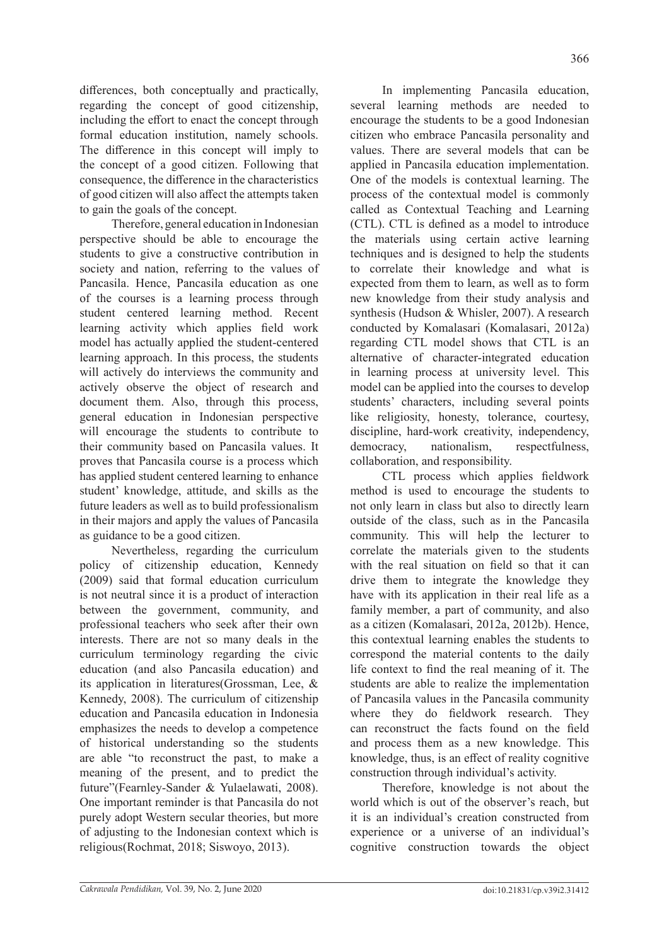differences, both conceptually and practically, regarding the concept of good citizenship, including the effort to enact the concept through formal education institution, namely schools. The difference in this concept will imply to the concept of a good citizen. Following that consequence, the difference in the characteristics of good citizen will also affect the attempts taken to gain the goals of the concept.

Therefore, general education in Indonesian perspective should be able to encourage the students to give a constructive contribution in society and nation, referring to the values of Pancasila. Hence, Pancasila education as one of the courses is a learning process through student centered learning method. Recent learning activity which applies field work model has actually applied the student-centered learning approach. In this process, the students will actively do interviews the community and actively observe the object of research and document them. Also, through this process, general education in Indonesian perspective will encourage the students to contribute to their community based on Pancasila values. It proves that Pancasila course is a process which has applied student centered learning to enhance student' knowledge, attitude, and skills as the future leaders as well as to build professionalism in their majors and apply the values of Pancasila as guidance to be a good citizen.

Nevertheless, regarding the curriculum policy of citizenship education, Kennedy (2009) said that formal education curriculum is not neutral since it is a product of interaction between the government, community, and professional teachers who seek after their own interests. There are not so many deals in the curriculum terminology regarding the civic education (and also Pancasila education) and its application in literatures(Grossman, Lee, & Kennedy, 2008). The curriculum of citizenship education and Pancasila education in Indonesia emphasizes the needs to develop a competence of historical understanding so the students are able "to reconstruct the past, to make a meaning of the present, and to predict the future"(Fearnley-Sander & Yulaelawati, 2008). One important reminder is that Pancasila do not purely adopt Western secular theories, but more of adjusting to the Indonesian context which is religious(Rochmat, 2018; Siswoyo, 2013).

In implementing Pancasila education, several learning methods are needed to encourage the students to be a good Indonesian citizen who embrace Pancasila personality and values. There are several models that can be applied in Pancasila education implementation. One of the models is contextual learning. The process of the contextual model is commonly called as Contextual Teaching and Learning (CTL). CTL is defined as a model to introduce the materials using certain active learning techniques and is designed to help the students to correlate their knowledge and what is expected from them to learn, as well as to form new knowledge from their study analysis and synthesis (Hudson & Whisler, 2007). A research conducted by Komalasari (Komalasari, 2012a) regarding CTL model shows that CTL is an alternative of character-integrated education in learning process at university level. This model can be applied into the courses to develop students' characters, including several points like religiosity, honesty, tolerance, courtesy, discipline, hard-work creativity, independency, democracy, nationalism, respectfulness, collaboration, and responsibility.

CTL process which applies fieldwork method is used to encourage the students to not only learn in class but also to directly learn outside of the class, such as in the Pancasila community. This will help the lecturer to correlate the materials given to the students with the real situation on field so that it can drive them to integrate the knowledge they have with its application in their real life as a family member, a part of community, and also as a citizen (Komalasari, 2012a, 2012b). Hence, this contextual learning enables the students to correspond the material contents to the daily life context to find the real meaning of it. The students are able to realize the implementation of Pancasila values in the Pancasila community where they do fieldwork research. They can reconstruct the facts found on the field and process them as a new knowledge. This knowledge, thus, is an effect of reality cognitive construction through individual's activity.

Therefore, knowledge is not about the world which is out of the observer's reach, but it is an individual's creation constructed from experience or a universe of an individual's cognitive construction towards the object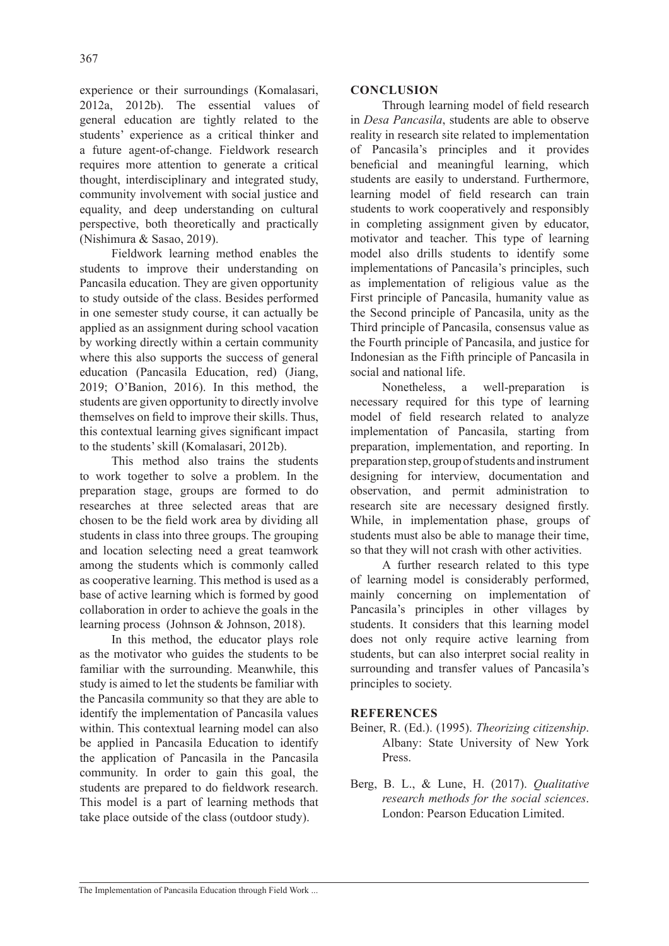experience or their surroundings (Komalasari, 2012a, 2012b). The essential values of general education are tightly related to the students' experience as a critical thinker and a future agent-of-change. Fieldwork research requires more attention to generate a critical thought, interdisciplinary and integrated study, community involvement with social justice and equality, and deep understanding on cultural perspective, both theoretically and practically (Nishimura & Sasao, 2019).

Fieldwork learning method enables the students to improve their understanding on Pancasila education. They are given opportunity to study outside of the class. Besides performed in one semester study course, it can actually be applied as an assignment during school vacation by working directly within a certain community where this also supports the success of general education (Pancasila Education, red) (Jiang, 2019; O'Banion, 2016). In this method, the students are given opportunity to directly involve themselves on field to improve their skills. Thus, this contextual learning gives significant impact to the students' skill (Komalasari, 2012b).

This method also trains the students to work together to solve a problem. In the preparation stage, groups are formed to do researches at three selected areas that are chosen to be the field work area by dividing all students in class into three groups. The grouping and location selecting need a great teamwork among the students which is commonly called as cooperative learning. This method is used as a base of active learning which is formed by good collaboration in order to achieve the goals in the learning process (Johnson & Johnson, 2018).

In this method, the educator plays role as the motivator who guides the students to be familiar with the surrounding. Meanwhile, this study is aimed to let the students be familiar with the Pancasila community so that they are able to identify the implementation of Pancasila values within. This contextual learning model can also be applied in Pancasila Education to identify the application of Pancasila in the Pancasila community. In order to gain this goal, the students are prepared to do fieldwork research. This model is a part of learning methods that take place outside of the class (outdoor study).

## **CONCLUSION**

Through learning model of field research in *Desa Pancasila*, students are able to observe reality in research site related to implementation of Pancasila's principles and it provides beneficial and meaningful learning, which students are easily to understand. Furthermore, learning model of field research can train students to work cooperatively and responsibly in completing assignment given by educator, motivator and teacher. This type of learning model also drills students to identify some implementations of Pancasila's principles, such as implementation of religious value as the First principle of Pancasila, humanity value as the Second principle of Pancasila, unity as the Third principle of Pancasila, consensus value as the Fourth principle of Pancasila, and justice for Indonesian as the Fifth principle of Pancasila in social and national life.

Nonetheless, a well-preparation is necessary required for this type of learning model of field research related to analyze implementation of Pancasila, starting from preparation, implementation, and reporting. In preparation step, group of students and instrument designing for interview, documentation and observation, and permit administration to research site are necessary designed firstly. While, in implementation phase, groups of students must also be able to manage their time, so that they will not crash with other activities.

A further research related to this type of learning model is considerably performed, mainly concerning on implementation of Pancasila's principles in other villages by students. It considers that this learning model does not only require active learning from students, but can also interpret social reality in surrounding and transfer values of Pancasila's principles to society.

## **REFERENCES**

- Beiner, R. (Ed.). (1995). *Theorizing citizenship*. Albany: State University of New York Press.
- Berg, B. L., & Lune, H. (2017). *Qualitative research methods for the social sciences*. London: Pearson Education Limited.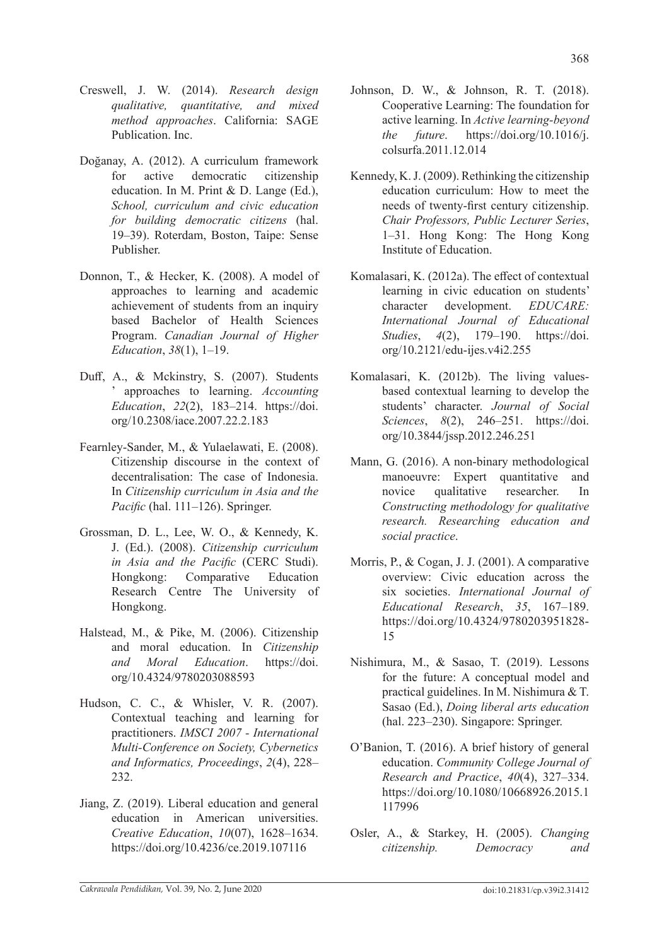- Creswell, J. W. (2014). *Research design qualitative, quantitative, and mixed method approaches*. California: SAGE Publication. Inc.
- Doğanay, A. (2012). A curriculum framework for active democratic citizenship education. In M. Print & D. Lange (Ed.), *School, curriculum and civic education for building democratic citizens* (hal. 19–39). Roterdam, Boston, Taipe: Sense Publisher.
- Donnon, T., & Hecker, K. (2008). A model of approaches to learning and academic achievement of students from an inquiry based Bachelor of Health Sciences Program. *Canadian Journal of Higher Education*, *38*(1), 1–19.
- Duff, A., & Mckinstry, S. (2007). Students ' approaches to learning. *Accounting Education*, *22*(2), 183–214. https://doi. org/10.2308/iace.2007.22.2.183
- Fearnley-Sander, M., & Yulaelawati, E. (2008). Citizenship discourse in the context of decentralisation: The case of Indonesia. In *Citizenship curriculum in Asia and the Pacific* (hal. 111–126). Springer.
- Grossman, D. L., Lee, W. O., & Kennedy, K. J. (Ed.). (2008). *Citizenship curriculum in Asia and the Pacific* (CERC Studi). Hongkong: Comparative Education Research Centre The University of Hongkong.
- Halstead, M., & Pike, M. (2006). Citizenship and moral education. In *Citizenship and Moral Education*. https://doi. org/10.4324/9780203088593
- Hudson, C. C., & Whisler, V. R. (2007). Contextual teaching and learning for practitioners. *IMSCI 2007 - International Multi-Conference on Society, Cybernetics and Informatics, Proceedings*, *2*(4), 228– 232.
- Jiang, Z. (2019). Liberal education and general education in American universities. *Creative Education*, *10*(07), 1628–1634. https://doi.org/10.4236/ce.2019.107116
- Johnson, D. W., & Johnson, R. T. (2018). Cooperative Learning: The foundation for active learning. In *Active learning-beyond the future*. https://doi.org/10.1016/j. colsurfa.2011.12.014
- Kennedy, K. J. (2009). Rethinking the citizenship education curriculum: How to meet the needs of twenty-first century citizenship. *Chair Professors, Public Lecturer Series*, 1–31. Hong Kong: The Hong Kong Institute of Education.
- Komalasari, K. (2012a). The effect of contextual learning in civic education on students' character development. *EDUCARE: International Journal of Educational Studies*, *4*(2), 179–190. https://doi. org/10.2121/edu-ijes.v4i2.255
- Komalasari, K. (2012b). The living valuesbased contextual learning to develop the students' character. *Journal of Social Sciences*, *8*(2), 246–251. https://doi. org/10.3844/jssp.2012.246.251
- Mann, G. (2016). A non-binary methodological manoeuvre: Expert quantitative and novice qualitative researcher. In *Constructing methodology for qualitative research. Researching education and social practice*.
- Morris, P., & Cogan, J. J. (2001). A comparative overview: Civic education across the six societies. *International Journal of Educational Research*, *35*, 167–189. https://doi.org/10.4324/9780203951828- 15
- Nishimura, M., & Sasao, T. (2019). Lessons for the future: A conceptual model and practical guidelines. In M. Nishimura & T. Sasao (Ed.), *Doing liberal arts education* (hal. 223–230). Singapore: Springer.
- O'Banion, T. (2016). A brief history of general education. *Community College Journal of Research and Practice*, *40*(4), 327–334. https://doi.org/10.1080/10668926.2015.1 117996
- Osler, A., & Starkey, H. (2005). *Changing citizenship. Democracy and*